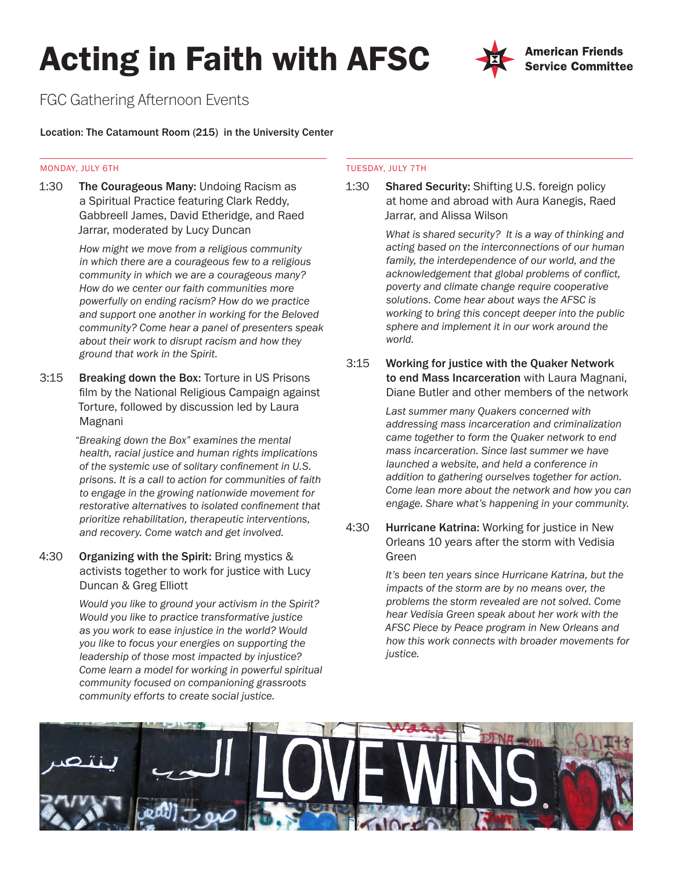# Acting in Faith with AFSC



# FGC Gathering Afternoon Events

# Location: The Catamount Room (215) in the University Center

### MONDAY, JULY 6TH

1:30 The Courageous Many: Undoing Racism as a Spiritual Practice featuring Clark Reddy, Gabbreell James, David Etheridge, and Raed Jarrar, moderated by Lucy Duncan

> *How might we move from a religious community in which there are a courageous few to a religious community in which we are a courageous many? How do we center our faith communities more powerfully on ending racism? How do we practice and support one another in working for the Beloved community? Come hear a panel of presenters speak about their work to disrupt racism and how they ground that work in the Spirit.*

3:15 Breaking down the Box: Torture in US Prisons film by the National Religious Campaign against Torture, followed by discussion led by Laura Magnani

> *"Breaking down the Box" examines the mental health, racial justice and human rights implications of the systemic use of solitary confinement in U.S. prisons. It is a call to action for communities of faith to engage in the growing nationwide movement for restorative alternatives to isolated confinement that prioritize rehabilitation, therapeutic interventions, and recovery. Come watch and get involved.*

4:30 Organizing with the Spirit: Bring mystics & activists together to work for justice with Lucy Duncan & Greg Elliott

> *Would you like to ground your activism in the Spirit? Would you like to practice transformative justice as you work to ease injustice in the world? Would you like to focus your energies on supporting the leadership of those most impacted by injustice? Come learn a model for working in powerful spiritual community focused on companioning grassroots community efforts to create social justice.*

# TUESDAY, JULY 7TH

1:30 Shared Security: Shifting U.S. foreign policy at home and abroad with Aura Kanegis, Raed Jarrar, and Alissa Wilson

> *What is shared security? It is a way of thinking and acting based on the interconnections of our human family, the interdependence of our world, and the acknowledgement that global problems of conflict, poverty and climate change require cooperative solutions. Come hear about ways the AFSC is working to bring this concept deeper into the public sphere and implement it in our work around the world.*

3:15 Working for justice with the Quaker Network to end Mass Incarceration with Laura Magnani, Diane Butler and other members of the network

> *Last summer many Quakers concerned with addressing mass incarceration and criminalization came together to form the Quaker network to end mass incarceration. Since last summer we have launched a website, and held a conference in addition to gathering ourselves together for action. Come lean more about the network and how you can engage. Share what's happening in your community.*

4:30 Hurricane Katrina: Working for justice in New Orleans 10 years after the storm with Vedisia Green

> *It's been ten years since Hurricane Katrina, but the impacts of the storm are by no means over, the problems the storm revealed are not solved. Come hear Vedisia Green speak about her work with the AFSC Piece by Peace program in New Orleans and how this work connects with broader movements for justice.*